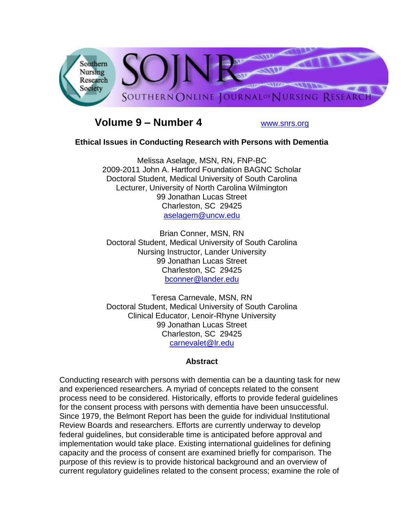

# **Volume 9 – Number 4** [www.snrs.org](http://www.snrs.org/)

### **Ethical Issues in Conducting Research with Persons with Dementia**

Melissa Aselage, MSN, RN, FNP-BC 2009-2011 John A. Hartford Foundation BAGNC Scholar Doctoral Student, Medical University of South Carolina Lecturer, University of North Carolina Wilmington 99 Jonathan Lucas Street Charleston, SC 29425 [aselagem@uncw.edu](https://exchange.musc.edu/owa/redir.aspx?C=b0b39f0c18b54894becf115af43c2b81&URL=mailto%3aaselagem%40uncw.edu)

Brian Conner, MSN, RN Doctoral Student, Medical University of South Carolina Nursing Instructor, Lander University 99 Jonathan Lucas Street Charleston, SC 29425 [bconner@lander.edu](https://exchange.musc.edu/owa/redir.aspx?C=b0b39f0c18b54894becf115af43c2b81&URL=mailto%3abconner%40lander.edu)

Teresa Carnevale, MSN, RN Doctoral Student, Medical University of South Carolina Clinical Educator, Lenoir-Rhyne University 99 Jonathan Lucas Street Charleston, SC 29425 [carnevalet@lr.edu](https://exchange.musc.edu/owa/redir.aspx?C=b0b39f0c18b54894becf115af43c2b81&URL=mailto%3acarnevalet%40lr.edu)

#### **Abstract**

Conducting research with persons with dementia can be a daunting task for new and experienced researchers. A myriad of concepts related to the consent process need to be considered. Historically, efforts to provide federal guidelines for the consent process with persons with dementia have been unsuccessful. Since 1979, the Belmont Report has been the guide for individual Institutional Review Boards and researchers. Efforts are currently underway to develop federal guidelines, but considerable time is anticipated before approval and implementation would take place. Existing international guidelines for defining capacity and the process of consent are examined briefly for comparison. The purpose of this review is to provide historical background and an overview of current regulatory guidelines related to the consent process; examine the role of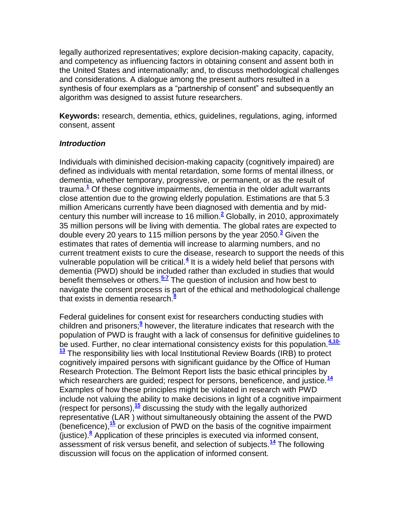legally authorized representatives; explore decision-making capacity, capacity, and competency as influencing factors in obtaining consent and assent both in the United States and internationally; and, to discuss methodological challenges and considerations. A dialogue among the present authors resulted in a synthesis of four exemplars as a "partnership of consent" and subsequently an algorithm was designed to assist future researchers.

**Keywords:** research, dementia, ethics, guidelines, regulations, aging, informed consent, assent

#### *Introduction*

Individuals with diminished decision-making capacity (cognitively impaired) are defined as individuals with mental retardation, some forms of mental illness, or dementia, whether temporary, progressive, or permanent, or as the result of trauma[.](http://snrs.org/publications/SOJNR_articles2/n)**<sup>1</sup>** Of these cognitive impairments, dementia in the older adult warrants close attention due to the growing elderly population. Estimations are that 5.3 million Americans currently have been diagnosed with dementia and by midcentury this number will increase to 16 million.**[2](http://snrs.org/publications/SOJNR_articles2/n)** Globally, in 2010, approximately 35 million persons will be living with dementia. The global rates are expected to double every 20 years to 115 million persons by the year 2050.**[3](http://snrs.org/publications/SOJNR_articles2/n)** Given the estimates that rates of dementia will increase to alarming numbers, and no current treatment exists to cure the disease, research to support the needs of this vulnerable population will be critical.**[4](http://snrs.org/publications/SOJNR_articles2/n)** It is a widely held belief that persons with dementia (PWD) should be included rather than excluded in studies that would benefit themselves or others.**[5-7](http://snrs.org/publications/SOJNR_articles2/n)** The question of inclusion and how best to navigate the consent process is part of the ethical and methodological challenge that exists in dementia research[.](http://snrs.org/publications/SOJNR_articles2/n)**<sup>8</sup>**

Federal guidelines for consent exist for researchers conducting studies with children and prisoners;**[9](http://snrs.org/publications/SOJNR_articles2/n)** however, the literature indicates that research with the population of PWD is fraught with a lack of consensus for definitive guidelines to be used. Further, no clear international consistency exists for this population.**[4,10-](http://snrs.org/publications/SOJNR_articles2/n) [13](http://snrs.org/publications/SOJNR_articles2/n)** The responsibility lies with local Institutional Review Boards (IRB) to protect cognitively impaired persons with significant guidance by the Office of Human Research Protection. The Belmont Report lists the basic ethical principles by which researchers are guided; respect for persons, beneficence, and justice.**[14](http://snrs.org/publications/SOJNR_articles2/n)** Examples of how these principles might be violated in research with PWD include not valuing the ability to make decisions in light of a cognitive impairment (respect for persons),**[15](http://snrs.org/publications/SOJNR_articles2/n)** discussing the study with the legally authorized representative (LAR ) without simultaneously obtaining the assent of the PWD (beneficence),**[15](http://snrs.org/publications/SOJNR_articles2/n)** or exclusion of PWD on the basis of the cognitive impairment (justice).**[8](http://snrs.org/publications/SOJNR_articles2/n)** Application of these principles is executed via informed consent, assessment of risk versus benefit, and selection of subjects.**[14](http://snrs.org/publications/SOJNR_articles2/n)** The following discussion will focus on the application of informed consent.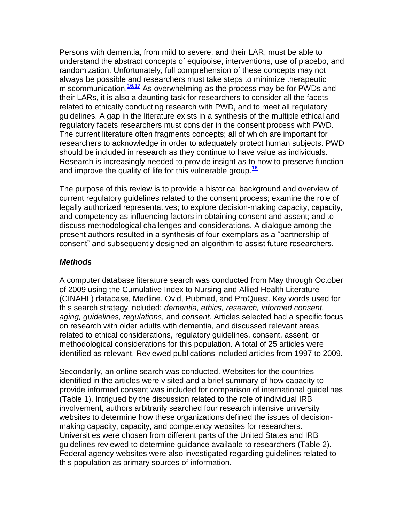Persons with dementia, from mild to severe, and their LAR, must be able to understand the abstract concepts of equipoise, interventions, use of placebo, and randomization. Unfortunately, full comprehension of these concepts may not always be possible and researchers must take steps to minimize therapeutic miscommunication.<sup>[16,17](http://snrs.org/publications/SOJNR_articles2/n)</sup> As overwhelming as the process may be for PWDs and their LARs, it is also a daunting task for researchers to consider all the facets related to ethically conducting research with PWD, and to meet all regulatory guidelines. A gap in the literature exists in a synthesis of the multiple ethical and regulatory facets researchers must consider in the consent process with PWD. The current literature often fragments concepts; all of which are important for researchers to acknowledge in order to adequately protect human subjects. PWD should be included in research as they continue to have value as individuals. Research is increasingly needed to provide insight as to how to preserve function and improve the quality of life for this vulnerable group.**[16](http://snrs.org/publications/SOJNR_articles2/n)**

The purpose of this review is to provide a historical background and overview of current regulatory guidelines related to the consent process; examine the role of legally authorized representatives; to explore decision-making capacity, capacity, and competency as influencing factors in obtaining consent and assent; and to discuss methodological challenges and considerations. A dialogue among the present authors resulted in a synthesis of four exemplars as a "partnership of consent" and subsequently designed an algorithm to assist future researchers.

#### *Methods*

A computer database literature search was conducted from May through October of 2009 using the Cumulative Index to Nursing and Allied Health Literature (CINAHL) database, Medline, Ovid, Pubmed, and ProQuest. Key words used for this search strategy included: *dementia, ethics, research, informed consent, aging, guidelines, regulations,* and *consent*. Articles selected had a specific focus on research with older adults with dementia, and discussed relevant areas related to ethical considerations, regulatory guidelines, consent, assent, or methodological considerations for this population. A total of 25 articles were identified as relevant. Reviewed publications included articles from 1997 to 2009.

Secondarily, an online search was conducted. Websites for the countries identified in the articles were visited and a brief summary of how capacity to provide informed consent was included for comparison of international guidelines (Table 1). Intrigued by the discussion related to the role of individual IRB involvement, authors arbitrarily searched four research intensive university websites to determine how these organizations defined the issues of decisionmaking capacity, capacity, and competency websites for researchers. Universities were chosen from different parts of the United States and IRB guidelines reviewed to determine guidance available to researchers (Table 2). Federal agency websites were also investigated regarding guidelines related to this population as primary sources of information.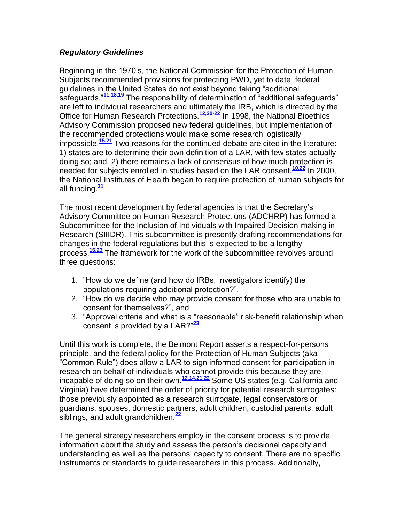### *Regulatory Guidelines*

Beginning in the 1970's, the National Commission for the Protection of Human Subjects recommended provisions for protecting PWD, yet to date, federal quidelines in the United States do not exist beyond taking "additional safeguards.<sup>"[11,18,19](http://snrs.org/publications/SOJNR_articles2/n)</sup> The responsibility of determination of "additional safeguards" are left to individual researchers and ultimately the IRB, which is directed by the Office for Human Research Protections.**[12,20-22](http://snrs.org/publications/SOJNR_articles2/n)** In 1998, the National Bioethics Advisory Commission proposed new federal guidelines, but implementation of the recommended protections would make some research logistically impossible.**[15,21](http://snrs.org/publications/SOJNR_articles2/n)** Two reasons for the continued debate are cited in the literature: 1) states are to determine their own definition of a LAR, with few states actually doing so; and, 2) there remains a lack of consensus of how much protection is needed for subjects enrolled in studies based on the LAR consent.**[10,22](http://snrs.org/publications/SOJNR_articles2/n)** In 2000, the National Institutes of Health began to require protection of human subjects for all funding.**[21](http://snrs.org/publications/SOJNR_articles2/n)**

The most recent development by federal agencies is that the Secretary's Advisory Committee on Human Research Protections (ADCHRP) has formed a Subcommittee for the Inclusion of Individuals with Impaired Decision-making in Research (SIIIDR). This subcommittee is presently drafting recommendations for changes in the federal regulations but this is expected to be a lengthy process.**[16,23](http://snrs.org/publications/SOJNR_articles2/n)** The framework for the work of the subcommittee revolves around three questions:

- 1. "How do we define (and how do IRBs, investigators identify) the populations requiring additional protection?",
- 2. "How do we decide who may provide consent for those who are unable to consent for themselves?", and
- 3. "Approval criteria and what is a "reasonable" risk-benefit relationship when consent is provided by a LAR?"<sup>[23](http://snrs.org/publications/SOJNR_articles2/n)</sup>

Until this work is complete, the Belmont Report asserts a respect-for-persons principle, and the federal policy for the Protection of Human Subjects (aka ―Common Rule‖) does allow a LAR to sign informed consent for participation in research on behalf of individuals who cannot provide this because they are incapable of doing so on their own.**[12,14,21,22](http://snrs.org/publications/SOJNR_articles2/n)** Some US states (e.g. California and Virginia) have determined the order of priority for potential research surrogates: those previously appointed as a research surrogate, legal conservators or guardians, spouses, domestic partners, adult children, custodial parents, adult siblings, and adult grandchildren.**[22](http://snrs.org/publications/SOJNR_articles2/n)**

The general strategy researchers employ in the consent process is to provide information about the study and assess the person's decisional capacity and understanding as well as the persons' capacity to consent. There are no specific instruments or standards to guide researchers in this process. Additionally,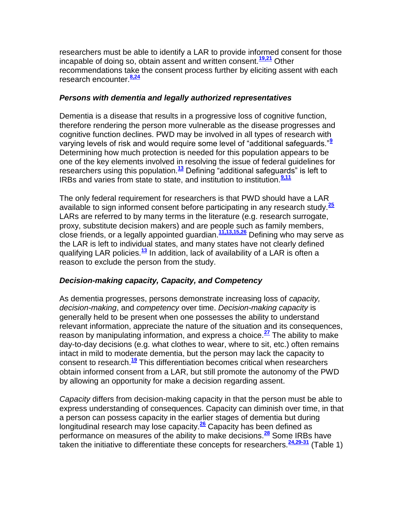researchers must be able to identify a LAR to provide informed consent for those incapable of doing so, obtain assent and written consent.**[19,21](http://snrs.org/publications/SOJNR_articles2/n)** Other recommendations take the consent process further by eliciting assent with each research encounter.**[8,24](http://snrs.org/publications/SOJNR_articles2/n)**

#### *Persons with dementia and legally authorized representatives*

Dementia is a disease that results in a progressive loss of cognitive function, therefore rendering the person more vulnerable as the disease progresses and cognitive function declines. PWD may be involved in all types of research with varying levels of risk and would require some level of "additional safequards."<sup>[9](http://snrs.org/publications/SOJNR_articles2/n)</sup> Determining how much protection is needed for this population appears to be one of the key elements involved in resolving the issue of federal guidelines for researchers using this population.<sup>[13](http://snrs.org/publications/SOJNR_articles2/n)</sup> Defining "additional safeguards" is left to IRBs and varies from state to state, and institution to institution.**[9,11](http://snrs.org/publications/SOJNR_articles2/n)**

The only federal requirement for researchers is that PWD should have a LAR available to sign informed consent before participating in any research study.**[25](http://snrs.org/publications/SOJNR_articles2/n)** LARs are referred to by many terms in the literature (e.g. research surrogate, proxy, substitute decision makers) and are people such as family members, close friends, or a legally appointed guardian.**[11,13,15,26](http://snrs.org/publications/SOJNR_articles2/n)** Defining who may serve as the LAR is left to individual states, and many states have not clearly defined qualifying LAR policies.**[13](http://snrs.org/publications/SOJNR_articles2/n)** In addition, lack of availability of a LAR is often a reason to exclude the person from the study.

#### *Decision-making capacity, Capacity, and Competency*

As dementia progresses, persons demonstrate increasing loss of *capacity, decision-making*, and *competency* over time. *Decision-making capacity* is generally held to be present when one possesses the ability to understand relevant information, appreciate the nature of the situation and its consequences, reason by manipulating information, and express a choice.**[27](http://snrs.org/publications/SOJNR_articles2/n)** The ability to make day-to-day decisions (e.g. what clothes to wear, where to sit, etc.) often remains intact in mild to moderate dementia, but the person may lack the capacity to consent to research.**[19](http://snrs.org/publications/SOJNR_articles2/n)** This differentiation becomes critical when researchers obtain informed consent from a LAR, but still promote the autonomy of the PWD by allowing an opportunity for make a decision regarding assent.

*Capacity* differs from decision-making capacity in that the person must be able to express understanding of consequences. Capacity can diminish over time, in that a person can possess capacity in the earlier stages of dementia but during longitudinal research may lose capacity.**[26](http://snrs.org/publications/SOJNR_articles2/n)** Capacity has been defined as performance on measures of the ability to make decisions.**[28](http://snrs.org/publications/SOJNR_articles2/n)** Some IRBs have taken the initiative to differentiate these concepts for researchers.**[24,29-31](http://snrs.org/publications/SOJNR_articles2/n)** (Table 1)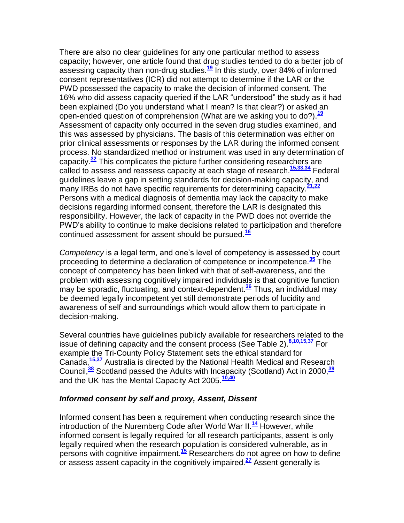There are also no clear guidelines for any one particular method to assess capacity; however, one article found that drug studies tended to do a better job of assessing capacity than non-drug studies.**[19](http://snrs.org/publications/SOJNR_articles2/n)** In this study, over 84% of informed consent representatives (ICR) did not attempt to determine if the LAR or the PWD possessed the capacity to make the decision of informed consent. The 16% who did assess capacity queried if the LAR "understood" the study as it had been explained (Do you understand what I mean? Is that clear?) or asked an open-ended question of comprehension (What are we asking you to do?).**[19](http://snrs.org/publications/SOJNR_articles2/n)** Assessment of capacity only occurred in the seven drug studies examined, and this was assessed by physicians. The basis of this determination was either on prior clinical assessments or responses by the LAR during the informed consent process. No standardized method or instrument was used in any determination of capacity.**[32](http://snrs.org/publications/SOJNR_articles2/n)** This complicates the picture further considering researchers are called to assess and reassess capacity at each stage of research.**[15,33,34](http://snrs.org/publications/SOJNR_articles2/n)** Federal guidelines leave a gap in setting standards for decision-making capacity, and many IRBs do not have specific requirements for determining capacity.**[21,22](http://snrs.org/publications/SOJNR_articles2/n)** Persons with a medical diagnosis of dementia may lack the capacity to make decisions regarding informed consent, therefore the LAR is designated this responsibility. However, the lack of capacity in the PWD does not override the PWD's ability to continue to make decisions related to participation and therefore continued assessment for assent should be pursued.**[16](http://snrs.org/publications/SOJNR_articles2/n)**

*Competency* is a legal term, and one's level of competency is assessed by court proceeding to determine a declaration of competence or incompetence.**[35](http://snrs.org/publications/SOJNR_articles2/n)** The concept of competency has been linked with that of self-awareness, and the problem with assessing cognitively impaired individuals is that cognitive function may be sporadic, fluctuating, and context-dependent.**[36](http://snrs.org/publications/SOJNR_articles2/n)** Thus, an individual may be deemed legally incompetent yet still demonstrate periods of lucidity and awareness of self and surroundings which would allow them to participate in decision-making.

Several countries have guidelines publicly available for researchers related to the issue of defining capacity and the consent process (See Table 2).**[8,10,15,37](http://snrs.org/publications/SOJNR_articles2/n)** For example the Tri-County Policy Statement sets the ethical standard for Canada,**[15,37](http://snrs.org/publications/SOJNR_articles2/n)** Australia is directed by the National Health Medical and Research Council,**[38](http://snrs.org/publications/SOJNR_articles2/n)** Scotland passed the Adults with Incapacity (Scotland) Act in 2000,**[39](http://snrs.org/publications/SOJNR_articles2/n)** and the UK has the Mental Capacity Act 2005.**[10,40](http://snrs.org/publications/SOJNR_articles2/n)**

#### *Informed consent by self and proxy, Assent, Dissent*

Informed consent has been a requirement when conducting research since the introduction of the Nuremberg Code after World War II.**[14](http://snrs.org/publications/SOJNR_articles2/n)** However, while informed consent is legally required for all research participants, assent is only legally required when the research population is considered vulnerable, as in persons with cognitive impairment.**[15](http://snrs.org/publications/SOJNR_articles2/n)** Researchers do not agree on how to define or assess assent capacity in the cognitively impaired.**[27](http://snrs.org/publications/SOJNR_articles2/n)** Assent generally is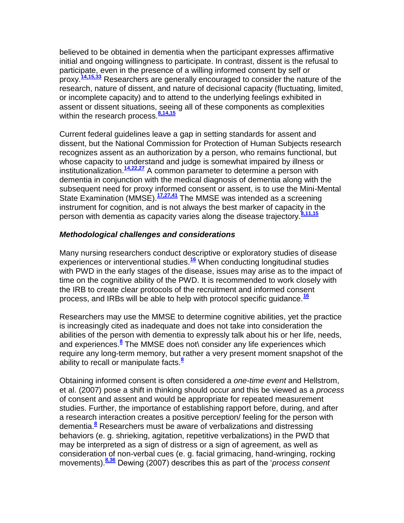believed to be obtained in dementia when the participant expresses affirmative initial and ongoing willingness to participate. In contrast, dissent is the refusal to participate, even in the presence of a willing informed consent by self or proxy.**[14,15,33](http://snrs.org/publications/SOJNR_articles2/n)** Researchers are generally encouraged to consider the nature of the research, nature of dissent, and nature of decisional capacity (fluctuating, limited, or incomplete capacity) and to attend to the underlying feelings exhibited in assent or dissent situations, seeing all of these components as complexities within the research process.<sup>[8,14,15](http://snrs.org/publications/SOJNR_articles2/n)</sup>

Current federal guidelines leave a gap in setting standards for assent and dissent, but the National Commission for Protection of Human Subjects research recognizes assent as an authorization by a person, who remains functional, but whose capacity to understand and judge is somewhat impaired by illness or institutionalization.**[14,22,27](http://snrs.org/publications/SOJNR_articles2/n)** A common parameter to determine a person with dementia in conjunction with the medical diagnosis of dementia along with the subsequent need for proxy informed consent or assent, is to use the Mini-Mental State Examination (MMSE).**[17,27,41](http://snrs.org/publications/SOJNR_articles2/n)** The MMSE was intended as a screening instrument for cognition, and is not always the best marker of capacity in the person with dementia as capacity varies along the disease trajectory.**[8,11,15](http://snrs.org/publications/SOJNR_articles2/n)**

#### *Methodological challenges and considerations*

Many nursing researchers conduct descriptive or exploratory studies of disease experiences or interventional studies.**[16](http://snrs.org/publications/SOJNR_articles2/n)** When conducting longitudinal studies with PWD in the early stages of the disease, issues may arise as to the impact of time on the cognitive ability of the PWD. It is recommended to work closely with the IRB to create clear protocols of the recruitment and informed consent process, and IRBs will be able to help with protocol specific guidance.**[16](http://snrs.org/publications/SOJNR_articles2/n)**

Researchers may use the MMSE to determine cognitive abilities, yet the practice is increasingly cited as inadequate and does not take into consideration the abilities of the person with dementia to expressly talk about his or her life, needs, and experiences.**[8](http://snrs.org/publications/SOJNR_articles2/n)** The MMSE does not\ consider any life experiences which require any long-term memory, but rather a very present moment snapshot of the ability to recall or manipulate facts.**[8](http://snrs.org/publications/SOJNR_articles2/n)**

Obtaining informed consent is often considered a *one-time event* and Hellstrom, et al. (2007) pose a shift in thinking should occur and this be viewed as a *process* of consent and assent and would be appropriate for repeated measurement studies. Further, the importance of establishing rapport before, during, and after a research interaction creates a positive perception/ feeling for the person with dementia[.](http://snrs.org/publications/SOJNR_articles2/n)**<sup>8</sup>** Researchers must be aware of verbalizations and distressing behaviors (e. g. shrieking, agitation, repetitive verbalizations) in the PWD that may be interpreted as a sign of distress or a sign of agreement, as well as consideration of non-verbal cues (e. g. facial grimacing, hand-wringing, rocking movements).**[8,36](http://snrs.org/publications/SOJNR_articles2/n)** Dewing (2007) describes this as part of the ‗*process consent*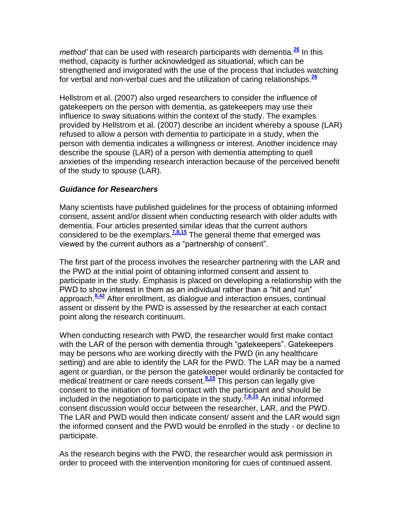*method'* that can be used with research participants with dementia.**[26](http://snrs.org/publications/SOJNR_articles2/n)** In this method, capacity is further acknowledged as situational, which can be strengthened and invigorated with the use of the process that includes watching for verbal and non-verbal cues and the utilization of caring relationships.**[26](http://snrs.org/publications/SOJNR_articles2/n)**

Hellstrom et al. (2007) also urged researchers to consider the influence of gatekeepers on the person with dementia, as gatekeepers may use their influence to sway situations within the context of the study. The examples provided by Hellstrom et al. (2007) describe an incident whereby a spouse (LAR) refused to allow a person with dementia to participate in a study, when the person with dementia indicates a willingness or interest. Another incidence may describe the spouse (LAR) of a person with dementia attempting to quell anxieties of the impending research interaction because of the perceived benefit of the study to spouse (LAR).

#### *Guidance for Researchers*

Many scientists have published guidelines for the process of obtaining informed consent, assent and/or dissent when conducting research with older adults with dementia. Four articles presented similar ideas that the current authors considered to be the exemplars.**[7,8,15](http://snrs.org/publications/SOJNR_articles2/n)** The general theme that emerged was viewed by the current authors as a "partnership of consent".

The first part of the process involves the researcher partnering with the LAR and the PWD at the initial point of obtaining informed consent and assent to participate in the study. Emphasis is placed on developing a relationship with the PWD to show interest in them as an individual rather than a "hit and run" approach.**[8,42](http://snrs.org/publications/SOJNR_articles2/n)** After enrollment, as dialogue and interaction ensues, continual assent or dissent by the PWD is assessed by the researcher at each contact point along the research continuum.

When conducting research with PWD, the researcher would first make contact with the LAR of the person with dementia through "gatekeepers". Gatekeepers may be persons who are working directly with the PWD (in any healthcare setting) and are able to identify the LAR for the PWD. The LAR may be a named agent or guardian, or the person the gatekeeper would ordinarily be contacted for medical treatment or care needs consent.<sup>[8,15](http://snrs.org/publications/SOJNR_articles2/n)</sup> This person can legally give consent to the initiation of formal contact with the participant and should be included in the negotiation to participate in the study.**[7,8,15](http://snrs.org/publications/SOJNR_articles2/n)** An initial informed consent discussion would occur between the researcher, LAR, and the PWD. The LAR and PWD would then indicate consent/ assent and the LAR would sign the informed consent and the PWD would be enrolled in the study - or decline to participate.

As the research begins with the PWD, the researcher would ask permission in order to proceed with the intervention monitoring for cues of continued assent.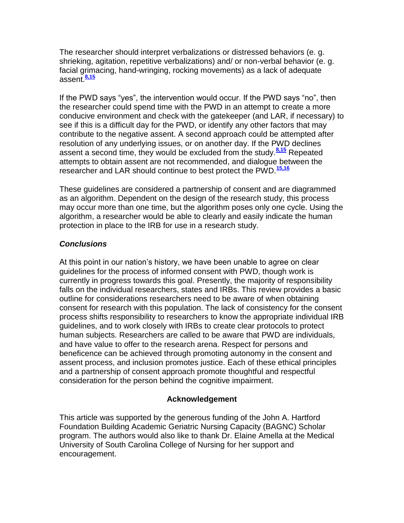The researcher should interpret verbalizations or distressed behaviors (e. g. shrieking, agitation, repetitive verbalizations) and/ or non-verbal behavior (e. g. facial grimacing, hand-wringing, rocking movements) as a lack of adequate assent.**[8,15](http://snrs.org/publications/SOJNR_articles2/n)**

If the PWD says "yes", the intervention would occur. If the PWD says "no", then the researcher could spend time with the PWD in an attempt to create a more conducive environment and check with the gatekeeper (and LAR, if necessary) to see if this is a difficult day for the PWD, or identify any other factors that may contribute to the negative assent. A second approach could be attempted after resolution of any underlying issues, or on another day. If the PWD declines assent a second time, they would be excluded from the study.**[8,15](http://snrs.org/publications/SOJNR_articles2/n)** Repeated attempts to obtain assent are not recommended, and dialogue between the researcher and LAR should continue to best protect the PWD.**[15,16](http://snrs.org/publications/SOJNR_articles2/n)**

These guidelines are considered a partnership of consent and are diagrammed as an algorithm. Dependent on the design of the research study, this process may occur more than one time, but the algorithm poses only one cycle. Using the algorithm, a researcher would be able to clearly and easily indicate the human protection in place to the IRB for use in a research study.

#### *Conclusions*

At this point in our nation's history, we have been unable to agree on clear guidelines for the process of informed consent with PWD, though work is currently in progress towards this goal. Presently, the majority of responsibility falls on the individual researchers, states and IRBs. This review provides a basic outline for considerations researchers need to be aware of when obtaining consent for research with this population. The lack of consistency for the consent process shifts responsibility to researchers to know the appropriate individual IRB guidelines, and to work closely with IRBs to create clear protocols to protect human subjects. Researchers are called to be aware that PWD are individuals, and have value to offer to the research arena. Respect for persons and beneficence can be achieved through promoting autonomy in the consent and assent process, and inclusion promotes justice. Each of these ethical principles and a partnership of consent approach promote thoughtful and respectful consideration for the person behind the cognitive impairment.

#### **Acknowledgement**

This article was supported by the generous funding of the John A. Hartford Foundation Building Academic Geriatric Nursing Capacity (BAGNC) Scholar program. The authors would also like to thank Dr. Elaine Amella at the Medical University of South Carolina College of Nursing for her support and encouragement.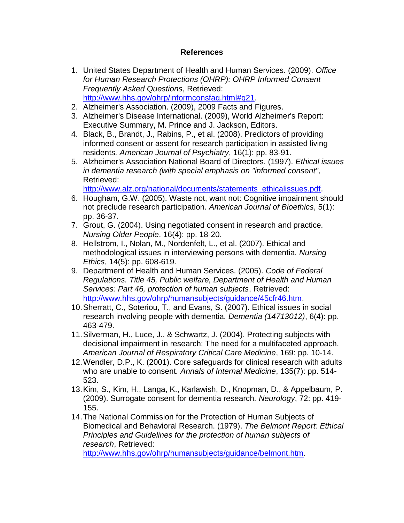#### **References**

- 1. United States Department of Health and Human Services. (2009). *Office for Human Research Protections (OHRP): OHRP Informed Consent Frequently Asked Questions*, Retrieved: [http://www.hhs.gov/ohrp/informconsfaq.html#q21.](http://www.hhs.gov/ohrp/informconsfaq.html#q21)
- 2. Alzheimer's Association. (2009), 2009 Facts and Figures.
- 3. Alzheimer's Disease International. (2009), World Alzheimer's Report: Executive Summary, M. Prince and J. Jackson, Editors.
- 4. Black, B., Brandt, J., Rabins, P., et al. (2008). Predictors of providing informed consent or assent for research participation in assisted living residents*. American Journal of Psychiatry*, 16(1): pp. 83-91.
- 5. Alzheimer's Association National Board of Directors. (1997). *Ethical issues in dementia research (with special emphasis on "informed consent"*, Retrieved:

[http://www.alz.org/national/documents/statements\\_ethicalissues.pdf.](http://www.alz.org/national/documents/statements_ethicalissues.pdf)

- 6. Hougham, G.W. (2005). Waste not, want not: Cognitive impairment should not preclude research participation*. American Journal of Bioethics*, 5(1): pp. 36-37.
- 7. Grout, G. (2004). Using negotiated consent in research and practice*. Nursing Older People*, 16(4): pp. 18-20.
- 8. Hellstrom, I., Nolan, M., Nordenfelt, L., et al. (2007). Ethical and methodological issues in interviewing persons with dementia*. Nursing Ethics*, 14(5): pp. 608-619.
- 9. Department of Health and Human Services. (2005). *Code of Federal Regulations. Title 45, Public welfare, Department of Health and Human Services: Part 46, protection of human subjects*, Retrieved: [http://www.hhs.gov/ohrp/humansubjects/guidance/45cfr46.htm.](http://www.hhs.gov/ohrp/humansubjects/guidance/45cfr46.htm)
- 10.Sherratt, C., Soteriou, T., and Evans, S. (2007). Ethical issues in social research involving people with dementia*. Dementia (14713012)*, 6(4): pp. 463-479.
- 11.Silverman, H., Luce, J., & Schwartz, J. (2004). Protecting subjects with decisional impairment in research: The need for a multifaceted approach*. American Journal of Respiratory Critical Care Medicine*, 169: pp. 10-14.
- 12.Wendler, D.P., K. (2001). Core safeguards for clinical research with adults who are unable to consent*. Annals of Internal Medicine*, 135(7): pp. 514- 523.
- 13.Kim, S., Kim, H., Langa, K., Karlawish, D., Knopman, D., & Appelbaum, P. (2009). Surrogate consent for dementia research*. Neurology*, 72: pp. 419- 155.
- 14.The National Commission for the Protection of Human Subjects of Biomedical and Behavioral Research. (1979). *The Belmont Report: Ethical Principles and Guidelines for the protection of human subjects of research*, Retrieved:

[http://www.hhs.gov/ohrp/humansubjects/guidance/belmont.htm.](http://www.hhs.gov/ohrp/humansubjects/guidance/belmont.htm)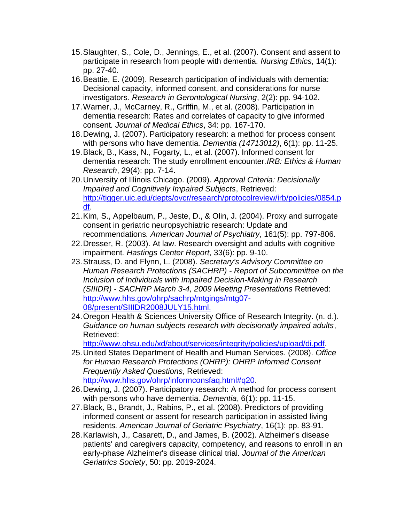- 15.Slaughter, S., Cole, D., Jennings, E., et al. (2007). Consent and assent to participate in research from people with dementia*. Nursing Ethics*, 14(1): pp. 27-40.
- 16.Beattie, E. (2009). Research participation of individuals with dementia: Decisional capacity, informed consent, and considerations for nurse investigators*. Research in Gerontological Nursing*, 2(2): pp. 94-102.
- 17.Warner, J., McCarney, R., Griffin, M., et al. (2008). Participation in dementia research: Rates and correlates of capacity to give informed consent*. Journal of Medical Ethics*, 34: pp. 167-170.
- 18.Dewing, J. (2007). Participatory research: a method for process consent with persons who have dementia*. Dementia (14713012)*, 6(1): pp. 11-25.
- 19.Black, B., Kass, N., Fogarty, L., et al. (2007). Informed consent for dementia research: The study enrollment encounter*.IRB: Ethics & Human Research*, 29(4): pp. 7-14.
- 20.University of Illinois Chicago. (2009). *Approval Criteria: Decisionally Impaired and Cognitively Impaired Subjects*, Retrieved: [http://tigger.uic.edu/depts/ovcr/research/protocolreview/irb/policies/0854.p](http://tigger.uic.edu/depts/ovcr/research/protocolreview/irb/policies/0854.pdf) [df.](http://tigger.uic.edu/depts/ovcr/research/protocolreview/irb/policies/0854.pdf)
- 21.Kim, S., Appelbaum, P., Jeste, D., & Olin, J. (2004). Proxy and surrogate consent in geriatric neuropsychiatric research: Update and recommendations*. American Journal of Psychiatry*, 161(5): pp. 797-806.
- 22.Dresser, R. (2003). At law. Research oversight and adults with cognitive impairment*. Hastings Center Report*, 33(6): pp. 9-10.
- 23.Strauss, D. and Flynn, L. (2008). *Secretary's Advisory Committee on Human Research Protections (SACHRP) - Report of Subcommittee on the Inclusion of Individuals with Impaired Decision-Making in Research (SIIIDR) - SACHRP March 3-4, 2009 Meeting Presentations* Retrieved: [http://www.hhs.gov/ohrp/sachrp/mtgings/mtg07-](http://www.hhs.gov/ohrp/sachrp/mtgings/mtg07-08/present/SIIIDR2008JULY15.html) [08/present/SIIIDR2008JULY15.html.](http://www.hhs.gov/ohrp/sachrp/mtgings/mtg07-08/present/SIIIDR2008JULY15.html)
- 24.Oregon Health & Sciences University Office of Research Integrity. (n. d.). *Guidance on human subjects research with decisionally impaired adults*, Retrieved:

[http://www.ohsu.edu/xd/about/services/integrity/policies/upload/di.pdf.](http://www.ohsu.edu/xd/about/services/integrity/policies/upload/di.pdf)

- 25.United States Department of Health and Human Services. (2008). *Office for Human Research Protections (OHRP): OHRP Informed Consent Frequently Asked Questions*, Retrieved: [http://www.hhs.gov/ohrp/informconsfaq.html#q20.](http://www.hhs.gov/ohrp/informconsfaq.html#q20)
- 26.Dewing, J. (2007). Participatory research: A method for process consent with persons who have dementia*. Dementia*, 6(1): pp. 11-15.
- 27.Black, B., Brandt, J., Rabins, P., et al. (2008). Predictors of providing informed consent or assent for research participation in assisted living residents*. American Journal of Geriatric Psychiatry*, 16(1): pp. 83-91.
- 28.Karlawish, J., Casarett, D., and James, B. (2002). Alzheimer's disease patients' and caregivers capacity, competency, and reasons to enroll in an early-phase Alzheimer's disease clinical trial*. Journal of the American Geriatrics Society*, 50: pp. 2019-2024.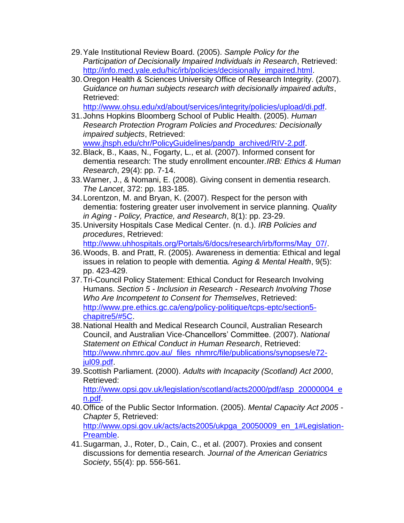- 29.Yale Institutional Review Board. (2005). *Sample Policy for the Participation of Decisionally Impaired Individuals in Research*, Retrieved: [http://info.med.yale.edu/hic/irb/policies/decisionally\\_impaired.html.](http://info.med.yale.edu/hic/irb/policies/decisionally_impaired.html)
- 30.Oregon Health & Sciences University Office of Research Integrity. (2007). *Guidance on human subjects research with decisionally impaired adults*, Retrieved:

[http://www.ohsu.edu/xd/about/services/integrity/policies/upload/di.pdf.](http://www.ohsu.edu/xd/about/services/integrity/policies/upload/di.pdf)

- 31.Johns Hopkins Bloomberg School of Public Health. (2005). *Human Research Protection Program Policies and Procedures: Decisionally impaired subjects*, Retrieved: [www.jhsph.edu/chr/PolicyGuidelines/pandp\\_archived/RIV-2.pdf.](http://www.jhsph.edu/chr/PolicyGuidelines/pandp_archived/RIV-2.pdf)
- 32.Black, B., Kaas, N., Fogarty, L., et al. (2007). Informed consent for dementia research: The study enrollment encounter*.IRB: Ethics & Human Research*, 29(4): pp. 7-14.
- 33.Warner, J., & Nomani, E. (2008). Giving consent in dementia research*. The Lancet*, 372: pp. 183-185.
- 34.Lorentzon, M. and Bryan, K. (2007). Respect for the person with dementia: fostering greater user involvement in service planning*. Quality in Aging - Policy, Practice, and Research*, 8(1): pp. 23-29.
- 35.University Hospitals Case Medical Center. (n. d.). *IRB Policies and procedures*, Retrieved:

[http://www.uhhospitals.org/Portals/6/docs/research/irb/forms/May\\_07/.](http://www.uhhospitals.org/Portals/6/docs/research/irb/forms/May_07/)

- 36.Woods, B. and Pratt, R. (2005). Awareness in dementia: Ethical and legal issues in relation to people with dementia*. Aging & Mental Health*, 9(5): pp. 423-429.
- 37.Tri-Council Policy Statement: Ethical Conduct for Research Involving Humans. *Section 5 - Inclusion in Research - Research Involving Those Who Are Incompetent to Consent for Themselves*, Retrieved: [http://www.pre.ethics.gc.ca/eng/policy-politique/tcps-eptc/section5](http://www.pre.ethics.gc.ca/eng/policy-politique/tcps-eptc/section5-chapitre5/#5C) [chapitre5/#5C.](http://www.pre.ethics.gc.ca/eng/policy-politique/tcps-eptc/section5-chapitre5/#5C)
- 38.National Health and Medical Research Council, Australian Research Council, and Australian Vice-Chancellors' Committee. (2007). *National Statement on Ethical Conduct in Human Research*, Retrieved: [http://www.nhmrc.gov.au/\\_files\\_nhmrc/file/publications/synopses/e72](http://www.nhmrc.gov.au/_files_nhmrc/file/publications/synopses/e72-jul09.pdf) [jul09.pdf.](http://www.nhmrc.gov.au/_files_nhmrc/file/publications/synopses/e72-jul09.pdf)
- 39.Scottish Parliament. (2000). *Adults with Incapacity (Scotland) Act 2000*, Retrieved:

[http://www.opsi.gov.uk/legislation/scotland/acts2000/pdf/asp\\_20000004\\_e](http://www.opsi.gov.uk/legislation/scotland/acts2000/pdf/asp_20000004_en.pdf) [n.pdf.](http://www.opsi.gov.uk/legislation/scotland/acts2000/pdf/asp_20000004_en.pdf)

- 40.Office of the Public Sector Information. (2005). *Mental Capacity Act 2005 - Chapter 5*, Retrieved: [http://www.opsi.gov.uk/acts/acts2005/ukpga\\_20050009\\_en\\_1#Legislation-](http://www.opsi.gov.uk/acts/acts2005/ukpga_20050009_en_1#Legislation-Preamble)[Preamble.](http://www.opsi.gov.uk/acts/acts2005/ukpga_20050009_en_1#Legislation-Preamble)
- 41.Sugarman, J., Roter, D., Cain, C., et al. (2007). Proxies and consent discussions for dementia research*. Journal of the American Geriatrics Society*, 55(4): pp. 556-561.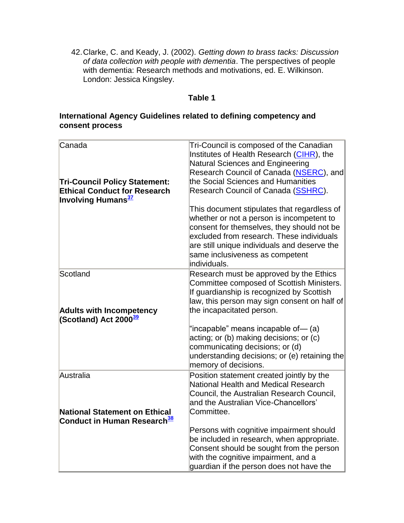42.Clarke, C. and Keady, J. (2002). *Getting down to brass tacks: Discussion of data collection with people with dementia*. The perspectives of people with dementia: Research methods and motivations, ed. E. Wilkinson. London: Jessica Kingsley.

#### **Table 1**

## **International Agency Guidelines related to defining competency and consent process**

| Canada<br><b>Tri-Council Policy Statement:</b><br><b>Ethical Conduct for Research</b> | Tri-Council is composed of the Canadian<br>Institutes of Health Research (CIHR), the<br>Natural Sciences and Engineering<br>Research Council of Canada (NSERC), and<br>the Social Sciences and Humanities<br>Research Council of Canada (SSHRC).                                        |
|---------------------------------------------------------------------------------------|-----------------------------------------------------------------------------------------------------------------------------------------------------------------------------------------------------------------------------------------------------------------------------------------|
| <b>Involving Humans</b> <sup>37</sup>                                                 | This document stipulates that regardless of<br>whether or not a person is incompetent to<br>consent for themselves, they should not be<br>excluded from research. These individuals<br>are still unique individuals and deserve the<br>same inclusiveness as competent<br>lindividuals. |
| Scotland                                                                              | Research must be approved by the Ethics<br>Committee composed of Scottish Ministers.<br>If guardianship is recognized by Scottish<br>law, this person may sign consent on half of                                                                                                       |
| <b>Adults with Incompetency</b><br>(Scotland) Act 2000 <sup>39</sup>                  | the incapacitated person.<br>"incapable" means incapable of— (a)<br>acting; or (b) making decisions; or (c)<br>communicating decisions; or (d)<br>understanding decisions; or (e) retaining the<br>memory of decisions.                                                                 |
| Australia                                                                             | Position statement created jointly by the<br>National Health and Medical Research<br>Council, the Australian Research Council,<br>and the Australian Vice-Chancellors'                                                                                                                  |
| <b>National Statement on Ethical</b><br>Conduct in Human Research <sup>38</sup>       | Committee.                                                                                                                                                                                                                                                                              |
|                                                                                       | Persons with cognitive impairment should<br>be included in research, when appropriate.<br>Consent should be sought from the person<br>with the cognitive impairment, and a<br>quardian if the person does not have the                                                                  |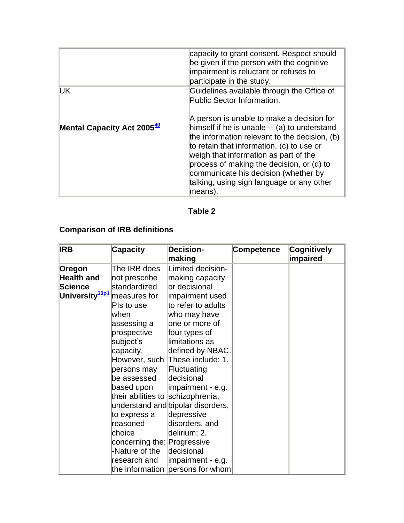|                                        | capacity to grant consent. Respect should<br>be given if the person with the cognitive<br>impairment is reluctant or refuses to<br>participate in the study.                                                                                                                                                                                                                |
|----------------------------------------|-----------------------------------------------------------------------------------------------------------------------------------------------------------------------------------------------------------------------------------------------------------------------------------------------------------------------------------------------------------------------------|
| <b>UK</b>                              | Guidelines available through the Office of<br>Public Sector Information.                                                                                                                                                                                                                                                                                                    |
| Mental Capacity Act 2005 <sup>40</sup> | A person is unable to make a decision for<br>himself if he is unable— (a) to understand<br>the information relevant to the decision, (b)<br>to retain that information, (c) to use or<br>weigh that information as part of the<br>process of making the decision, or (d) to<br>communicate his decision (whether by<br>talking, using sign language or any other<br>means). |

## **Table 2**

## **Comparison of IRB definitions**

| <b>IRB</b>                              | <b>Capacity</b>                   | <b>Decision-</b>                  | <b>Competence</b> | Cognitively |
|-----------------------------------------|-----------------------------------|-----------------------------------|-------------------|-------------|
|                                         |                                   | making                            |                   | impaired    |
| Oregon                                  | The IRB does                      | Limited decision-                 |                   |             |
| <b>Health and</b>                       | not prescribe                     | making capacity                   |                   |             |
| <b>Science</b>                          | standardized                      | or decisional                     |                   |             |
| University <sup>30p1</sup> measures for |                                   | impairment used                   |                   |             |
|                                         | Pls to use                        | to refer to adults                |                   |             |
|                                         | lwhen                             | who may have                      |                   |             |
|                                         | assessing a                       | one or more of                    |                   |             |
|                                         | prospective                       | four types of                     |                   |             |
|                                         | subject's                         | limitations as                    |                   |             |
|                                         | capacity.                         | defined by NBAC.                  |                   |             |
|                                         |                                   | However, such These include: 1.   |                   |             |
|                                         | persons may                       | Fluctuating                       |                   |             |
|                                         | be assessed                       | decisional                        |                   |             |
|                                         | based upon                        | impairment - e.g.                 |                   |             |
|                                         | their abilities to schizophrenia, |                                   |                   |             |
|                                         |                                   | understand and bipolar disorders, |                   |             |
|                                         | to express a                      | depressive                        |                   |             |
|                                         | reasoned                          | disorders, and                    |                   |             |
|                                         | choice                            | delirium; 2.                      |                   |             |
|                                         | concerning the: Progressive       |                                   |                   |             |
|                                         | -Nature of the                    | decisional                        |                   |             |
|                                         | research and                      | impairment - e.g.                 |                   |             |
|                                         |                                   | the information persons for whom  |                   |             |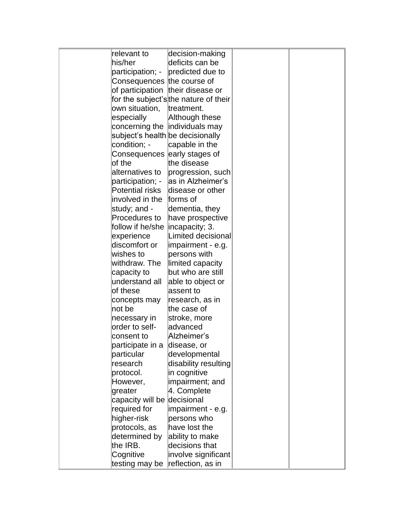| relevant to                       | decision-making                       |  |
|-----------------------------------|---------------------------------------|--|
| his/her                           | deficits can be                       |  |
| participation; -                  | predicted due to                      |  |
| Consequences the course of        |                                       |  |
| of participation their disease or |                                       |  |
|                                   | for the subject's the nature of their |  |
| own situation,                    | treatment.                            |  |
| especially                        | Although these                        |  |
|                                   | concerning the individuals may        |  |
| subject's health be decisionally  |                                       |  |
| condition; -                      | capable in the                        |  |
| Consequences early stages of      |                                       |  |
| of the                            | the disease                           |  |
| alternatives to                   | progression, such                     |  |
| participation; -                  | as in Alzheimer's                     |  |
| Potential risks                   | disease or other                      |  |
| involved in the                   | forms of                              |  |
| study; and -                      | dementia, they                        |  |
| Procedures to                     | have prospective                      |  |
| follow if he/she  incapacity; 3.  |                                       |  |
| experience                        | Limited decisional                    |  |
| discomfort or                     | impairment - e.g.                     |  |
| wishes to                         | persons with                          |  |
| withdraw. The                     | limited capacity                      |  |
| capacity to                       | but who are still                     |  |
| understand all                    | able to object or                     |  |
| of these                          | assent to                             |  |
| concepts may                      | research, as in                       |  |
| not be                            | the case of                           |  |
| necessary in                      | stroke, more                          |  |
| order to self-                    | advanced                              |  |
| consent to                        | Alzheimer's                           |  |
| participate in a                  | disease, or                           |  |
| particular                        | developmental                         |  |
| research                          | disability resulting                  |  |
| protocol.                         | in cognitive                          |  |
| However,                          | impairment; and                       |  |
| greater                           | 4. Complete                           |  |
| capacity will be decisional       |                                       |  |
| required for                      | impairment - e.g.                     |  |
| higher-risk                       | persons who                           |  |
| protocols, as                     | have lost the                         |  |
| determined by                     | ability to make                       |  |
| the IRB.                          | decisions that                        |  |
| Cognitive                         | involve significant                   |  |
| testing may be reflection, as in  |                                       |  |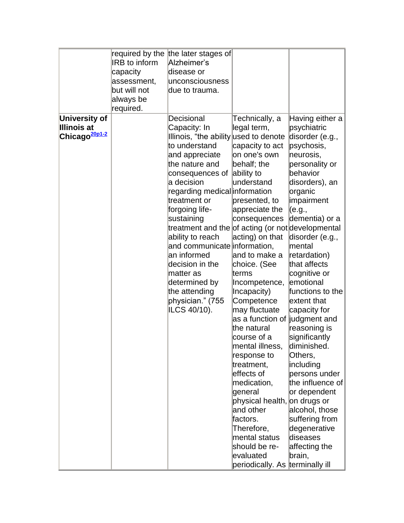|                           |                      | required by the the later stages of               |                                 |                  |
|---------------------------|----------------------|---------------------------------------------------|---------------------------------|------------------|
|                           | <b>IRB</b> to inform | Alzheimer's                                       |                                 |                  |
|                           | capacity             | disease or                                        |                                 |                  |
|                           | assessment,          | unconsciousness                                   |                                 |                  |
|                           | but will not         | due to trauma.                                    |                                 |                  |
|                           | always be            |                                                   |                                 |                  |
|                           | required.            |                                                   |                                 |                  |
| <b>University of</b>      |                      | Decisional                                        | Technically, a                  | Having either a  |
| <b>Illinois at</b>        |                      | Capacity: In                                      | legal term,                     | psychiatric      |
| Chicago <sup>20p1-2</sup> |                      | Illinois, "the ability used to denote             |                                 | disorder (e.g.,  |
|                           |                      | to understand                                     | capacity to act                 | psychosis,       |
|                           |                      | and appreciate                                    | on one's own                    | neurosis,        |
|                           |                      | the nature and                                    | behalf; the                     | personality or   |
|                           |                      | consequences of                                   | ability to                      | behavior         |
|                           |                      | a decision                                        | lunderstand                     | disorders), an   |
|                           |                      | regarding medical information                     |                                 | organic          |
|                           |                      | treatment or                                      | presented, to                   | impairment       |
|                           |                      | forgoing life-                                    | appreciate the                  | (e.g.,           |
|                           |                      | sustaining                                        | consequences                    | dementia) or a   |
|                           |                      | treatment and the of acting (or not developmental |                                 |                  |
|                           |                      | ability to reach                                  | acting) on that                 | disorder (e.g.,  |
|                           |                      | and communicate information,                      |                                 | mental           |
|                           |                      | an informed                                       | and to make a                   | retardation)     |
|                           |                      | decision in the                                   | choice. (See                    | that affects     |
|                           |                      | matter as                                         | lterms                          | cognitive or     |
|                           |                      | determined by                                     | Incompetence,                   | emotional        |
|                           |                      | the attending                                     | Incapacity)                     | functions to the |
|                           |                      | physician." (755                                  | Competence                      | extent that      |
|                           |                      | ILCS 40/10).                                      | may fluctuate                   | capacity for     |
|                           |                      |                                                   | as a function of judgment and   |                  |
|                           |                      |                                                   | the natural                     | reasoning is     |
|                           |                      |                                                   | course of a                     | significantly    |
|                           |                      |                                                   | mental illness,                 | diminished.      |
|                           |                      |                                                   | response to                     | Others,          |
|                           |                      |                                                   | treatment,                      | including        |
|                           |                      |                                                   | effects of                      | persons under    |
|                           |                      |                                                   | medication,                     | the influence of |
|                           |                      |                                                   | general                         | or dependent     |
|                           |                      |                                                   | physical health, on drugs or    |                  |
|                           |                      |                                                   | and other                       | alcohol, those   |
|                           |                      |                                                   | factors.                        | suffering from   |
|                           |                      |                                                   | Therefore,                      | degenerative     |
|                           |                      |                                                   | mental status                   | diseases         |
|                           |                      |                                                   | should be re-                   | affecting the    |
|                           |                      |                                                   | evaluated                       | brain,           |
|                           |                      |                                                   | periodically. As terminally ill |                  |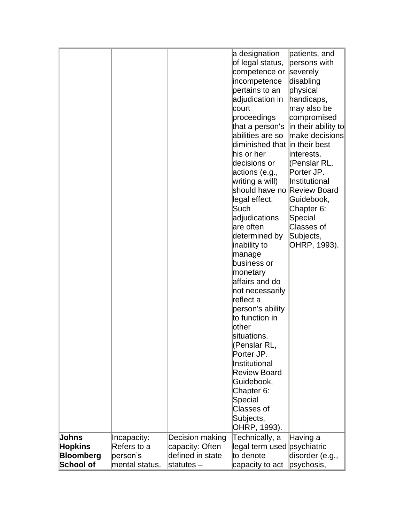|                                |                            |                                    | a designation<br>of legal status,<br>competence or<br>incompetence | patients, and<br>persons with<br>severely<br>disabling |
|--------------------------------|----------------------------|------------------------------------|--------------------------------------------------------------------|--------------------------------------------------------|
|                                |                            |                                    |                                                                    |                                                        |
|                                |                            |                                    | pertains to an                                                     | physical                                               |
|                                |                            |                                    | adjudication in                                                    | handicaps,                                             |
|                                |                            |                                    | court                                                              | may also be                                            |
|                                |                            |                                    | proceedings                                                        | compromised                                            |
|                                |                            |                                    | that a person's                                                    | in their ability to                                    |
|                                |                            |                                    | abilities are so                                                   | make decisions                                         |
|                                |                            |                                    | diminished that in their best                                      |                                                        |
|                                |                            |                                    | ∣his or her                                                        | linterests.                                            |
|                                |                            |                                    | decisions or                                                       | (Penslar RL,                                           |
|                                |                            |                                    | actions (e.g.,                                                     | Porter JP.                                             |
|                                |                            |                                    | writing a will)                                                    | Institutional                                          |
|                                |                            |                                    | should have no                                                     | <b>Review Board</b>                                    |
|                                |                            |                                    | legal effect.                                                      | Guidebook,                                             |
|                                |                            |                                    | Such                                                               | Chapter 6:                                             |
|                                |                            |                                    | adjudications<br>lare often                                        | Special<br>Classes of                                  |
|                                |                            |                                    | determined by                                                      | Subjects,                                              |
|                                |                            |                                    | inability to                                                       | OHRP, 1993).                                           |
|                                |                            |                                    | manage                                                             |                                                        |
|                                |                            |                                    | business or                                                        |                                                        |
|                                |                            |                                    | monetary                                                           |                                                        |
|                                |                            |                                    | affairs and do                                                     |                                                        |
|                                |                            |                                    | not necessarily                                                    |                                                        |
|                                |                            |                                    | reflect a                                                          |                                                        |
|                                |                            |                                    | person's ability                                                   |                                                        |
|                                |                            |                                    | to function in                                                     |                                                        |
|                                |                            |                                    | other                                                              |                                                        |
|                                |                            |                                    | situations.                                                        |                                                        |
|                                |                            |                                    | (Penslar RL,                                                       |                                                        |
|                                |                            |                                    | Porter JP.                                                         |                                                        |
|                                |                            |                                    | Institutional                                                      |                                                        |
|                                |                            |                                    | <b>Review Board</b>                                                |                                                        |
|                                |                            |                                    | Guidebook,                                                         |                                                        |
|                                |                            |                                    | Chapter 6:                                                         |                                                        |
|                                |                            |                                    | Special                                                            |                                                        |
|                                |                            |                                    | Classes of                                                         |                                                        |
|                                |                            |                                    | Subjects,                                                          |                                                        |
|                                |                            |                                    | OHRP, 1993).                                                       |                                                        |
| <b>Johns</b><br><b>Hopkins</b> | Incapacity:<br>Refers to a | Decision making<br>capacity: Often | Technically, a<br>legal term used psychiatric                      | Having a                                               |
| <b>Bloomberg</b>               | person's                   | defined in state                   | to denote                                                          | disorder (e.g.,                                        |
| <b>School of</b>               | mental status.             | statutes-                          | capacity to act                                                    | psychosis,                                             |
|                                |                            |                                    |                                                                    |                                                        |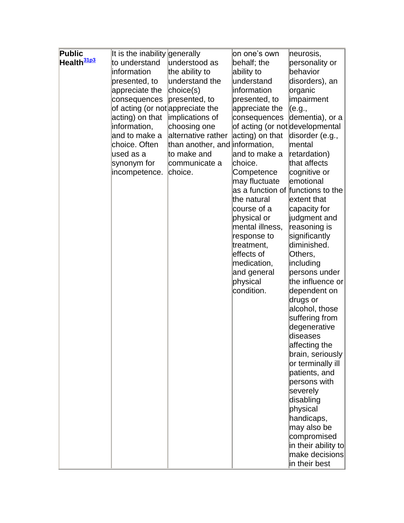| <b>Public</b>          | It is the inability generally    |                                | on one's own                                     | neurosis,                    |
|------------------------|----------------------------------|--------------------------------|--------------------------------------------------|------------------------------|
| Health <sup>31p3</sup> | to understand                    | lunderstood as                 | behalf; the                                      | personality or               |
|                        | information                      | the ability to                 | ability to                                       | behavior                     |
|                        | presented, to                    | understand the                 | understand                                       | disorders), an               |
|                        | appreciate the                   | choice(s)                      | information                                      | organic                      |
|                        | consequences                     | presented, to                  | presented, to                                    | impairment                   |
|                        | of acting (or not appreciate the |                                | appreciate the                                   | (e.g.,                       |
|                        | acting) on that                  | implications of                | consequences                                     | dementia), or a              |
|                        | information,                     | choosing one                   | of acting (or not developmental                  |                              |
|                        | and to make a                    | alternative rather             | acting) on that                                  | disorder (e.g.,              |
|                        | choice. Often                    | than another, and information, |                                                  | mental                       |
|                        | used as a                        | to make and                    | and to make a                                    | retardation)                 |
|                        | synonym for                      | communicate a                  | choice.                                          | that affects                 |
|                        | incompetence.                    | choice.                        | Competence                                       | cognitive or                 |
|                        |                                  |                                | may fluctuate                                    | emotional                    |
|                        |                                  |                                | as a function of functions to the<br>the natural | extent that                  |
|                        |                                  |                                | course of a                                      |                              |
|                        |                                  |                                | physical or                                      | capacity for<br>judgment and |
|                        |                                  |                                | mental illness,                                  | reasoning is                 |
|                        |                                  |                                | response to                                      | significantly                |
|                        |                                  |                                | treatment,                                       | diminished.                  |
|                        |                                  |                                | effects of                                       | Others,                      |
|                        |                                  |                                | medication,                                      | including                    |
|                        |                                  |                                | and general                                      | persons under                |
|                        |                                  |                                | physical                                         | the influence or             |
|                        |                                  |                                | condition.                                       | dependent on                 |
|                        |                                  |                                |                                                  | drugs or                     |
|                        |                                  |                                |                                                  | alcohol, those               |
|                        |                                  |                                |                                                  | suffering from               |
|                        |                                  |                                |                                                  | degenerative                 |
|                        |                                  |                                |                                                  | diseases                     |
|                        |                                  |                                |                                                  | affecting the                |
|                        |                                  |                                |                                                  | brain, seriously             |
|                        |                                  |                                |                                                  | or terminally ill            |
|                        |                                  |                                |                                                  | patients, and                |
|                        |                                  |                                |                                                  | persons with                 |
|                        |                                  |                                |                                                  | severely                     |
|                        |                                  |                                |                                                  | disabling                    |
|                        |                                  |                                |                                                  | physical                     |
|                        |                                  |                                |                                                  | handicaps,                   |
|                        |                                  |                                |                                                  | may also be                  |
|                        |                                  |                                |                                                  | compromised                  |
|                        |                                  |                                |                                                  | $ $ in their ability to $ $  |
|                        |                                  |                                |                                                  | make decisions               |
|                        |                                  |                                |                                                  | in their best                |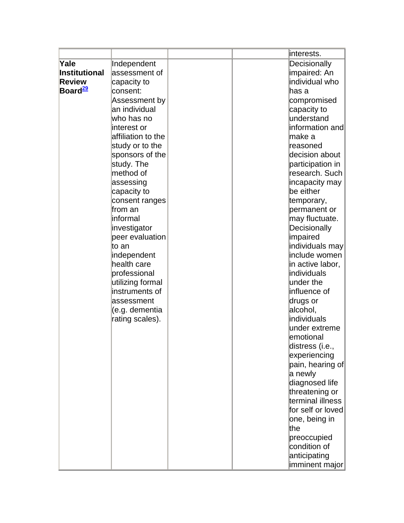|                      |                    | interests.        |
|----------------------|--------------------|-------------------|
| Yale                 | Independent        | Decisionally      |
| <b>Institutional</b> | assessment of      | impaired: An      |
| <b>Review</b>        | capacity to        | individual who    |
| Board <sup>29</sup>  | consent:           | has a             |
|                      | Assessment by      | compromised       |
|                      | an individual      | capacity to       |
|                      | who has no         | understand        |
|                      | interest or        | information and   |
|                      | affiliation to the | make a            |
|                      | study or to the    | reasoned          |
|                      | sponsors of the    | decision about    |
|                      | study. The         | participation in  |
|                      | method of          | research. Such    |
|                      | assessing          | incapacity may    |
|                      | capacity to        | be either         |
|                      | consent ranges     | temporary,        |
|                      | lfrom an           | permanent or      |
|                      | linformal          | may fluctuate.    |
|                      | investigator       | Decisionally      |
|                      | peer evaluation    | impaired          |
|                      | lto an             | individuals may   |
|                      | independent        | include women     |
|                      | health care        | in active labor,  |
|                      | professional       | individuals       |
|                      | utilizing formal   | under the         |
|                      | instruments of     | influence of      |
|                      | lassessment        | drugs or          |
|                      | (e.g. dementia     | alcohol,          |
|                      | rating scales).    | individuals       |
|                      |                    | under extreme     |
|                      |                    | emotional         |
|                      |                    | distress (i.e.,   |
|                      |                    | experiencing      |
|                      |                    | pain, hearing of  |
|                      |                    | a newly           |
|                      |                    | diagnosed life    |
|                      |                    | threatening or    |
|                      |                    | terminal illness  |
|                      |                    | for self or loved |
|                      |                    | one, being in     |
|                      |                    | lthe              |
|                      |                    | preoccupied       |
|                      |                    | condition of      |
|                      |                    | anticipating      |
|                      |                    | imminent major    |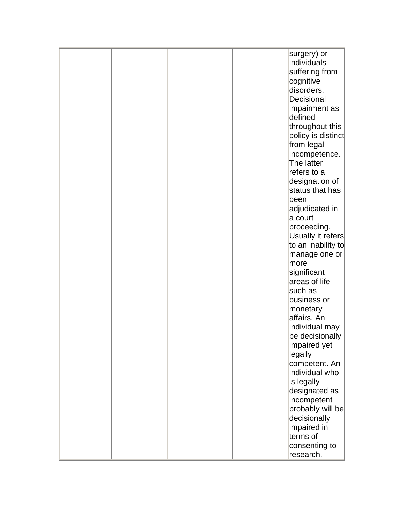|  |  | surgery) or              |
|--|--|--------------------------|
|  |  | individuals              |
|  |  | suffering from           |
|  |  | cognitive                |
|  |  | disorders.               |
|  |  |                          |
|  |  | Decisional               |
|  |  | impairment as            |
|  |  | defined                  |
|  |  | throughout this          |
|  |  | policy is distinct       |
|  |  | from legal               |
|  |  | incompetence.            |
|  |  | The latter               |
|  |  | refers to a              |
|  |  | designation of           |
|  |  | status that has          |
|  |  | been                     |
|  |  | adjudicated in           |
|  |  | a court                  |
|  |  |                          |
|  |  | proceeding.              |
|  |  | Usually it refers        |
|  |  | to an inability to       |
|  |  | manage one or            |
|  |  | more                     |
|  |  | significant              |
|  |  | areas of life            |
|  |  | such as                  |
|  |  | business or              |
|  |  | monetary                 |
|  |  | affairs. An              |
|  |  | individual may           |
|  |  | be decisionally          |
|  |  | ∣impaired yet            |
|  |  | legally                  |
|  |  | competent. An            |
|  |  | individual who           |
|  |  |                          |
|  |  | is legally               |
|  |  | designated as            |
|  |  | incompetent              |
|  |  | $ $ probably will be $ $ |
|  |  | decisionally             |
|  |  | impaired in              |
|  |  | terms of                 |
|  |  | consenting to            |
|  |  | research.                |